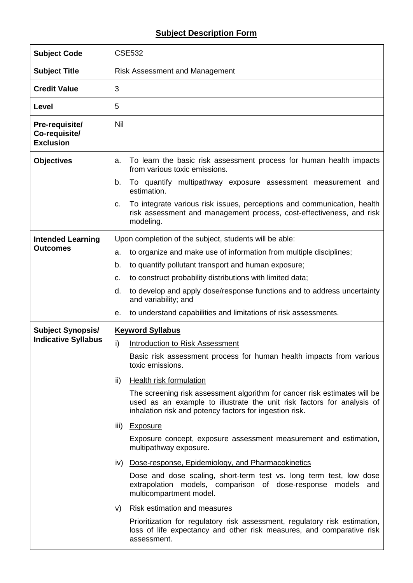## **Subject Description Form**

| <b>Subject Code</b>                                 | <b>CSE532</b>                                                                                                                                                                                                  |  |  |  |  |  |  |  |  |
|-----------------------------------------------------|----------------------------------------------------------------------------------------------------------------------------------------------------------------------------------------------------------------|--|--|--|--|--|--|--|--|
| <b>Subject Title</b>                                | <b>Risk Assessment and Management</b>                                                                                                                                                                          |  |  |  |  |  |  |  |  |
| <b>Credit Value</b>                                 | 3                                                                                                                                                                                                              |  |  |  |  |  |  |  |  |
| Level                                               | 5                                                                                                                                                                                                              |  |  |  |  |  |  |  |  |
| Pre-requisite/<br>Co-requisite/<br><b>Exclusion</b> | <b>Nil</b>                                                                                                                                                                                                     |  |  |  |  |  |  |  |  |
| <b>Objectives</b>                                   | To learn the basic risk assessment process for human health impacts<br>a.<br>from various toxic emissions.                                                                                                     |  |  |  |  |  |  |  |  |
|                                                     | b.<br>To quantify multipathway exposure assessment measurement and<br>estimation.                                                                                                                              |  |  |  |  |  |  |  |  |
|                                                     | To integrate various risk issues, perceptions and communication, health<br>c.<br>risk assessment and management process, cost-effectiveness, and risk<br>modeling.                                             |  |  |  |  |  |  |  |  |
| <b>Intended Learning</b>                            | Upon completion of the subject, students will be able:                                                                                                                                                         |  |  |  |  |  |  |  |  |
| <b>Outcomes</b>                                     | to organize and make use of information from multiple disciplines;<br>a.                                                                                                                                       |  |  |  |  |  |  |  |  |
|                                                     | b.<br>to quantify pollutant transport and human exposure;                                                                                                                                                      |  |  |  |  |  |  |  |  |
|                                                     | to construct probability distributions with limited data;<br>c.                                                                                                                                                |  |  |  |  |  |  |  |  |
|                                                     | to develop and apply dose/response functions and to address uncertainty<br>d.<br>and variability; and                                                                                                          |  |  |  |  |  |  |  |  |
|                                                     | to understand capabilities and limitations of risk assessments.<br>е.                                                                                                                                          |  |  |  |  |  |  |  |  |
| <b>Subject Synopsis/</b>                            | <b>Keyword Syllabus</b>                                                                                                                                                                                        |  |  |  |  |  |  |  |  |
| <b>Indicative Syllabus</b>                          | $\mathsf{i}$<br>Introduction to Risk Assessment                                                                                                                                                                |  |  |  |  |  |  |  |  |
|                                                     | Basic risk assessment process for human health impacts from various<br>toxic emissions.                                                                                                                        |  |  |  |  |  |  |  |  |
|                                                     | <b>Health risk formulation</b><br>ii)                                                                                                                                                                          |  |  |  |  |  |  |  |  |
|                                                     | The screening risk assessment algorithm for cancer risk estimates will be<br>used as an example to illustrate the unit risk factors for analysis of<br>inhalation risk and potency factors for ingestion risk. |  |  |  |  |  |  |  |  |
|                                                     | <u>Exposure</u><br>iii)                                                                                                                                                                                        |  |  |  |  |  |  |  |  |
|                                                     | Exposure concept, exposure assessment measurement and estimation,<br>multipathway exposure.                                                                                                                    |  |  |  |  |  |  |  |  |
|                                                     | Dose-response, Epidemiology, and Pharmacokinetics<br>iv)                                                                                                                                                       |  |  |  |  |  |  |  |  |
|                                                     | Dose and dose scaling, short-term test vs. long term test, low dose<br>extrapolation models, comparison of dose-response models and<br>multicompartment model.                                                 |  |  |  |  |  |  |  |  |
|                                                     | <b>Risk estimation and measures</b><br>V)                                                                                                                                                                      |  |  |  |  |  |  |  |  |
|                                                     | Prioritization for regulatory risk assessment, regulatory risk estimation,<br>loss of life expectancy and other risk measures, and comparative risk<br>assessment.                                             |  |  |  |  |  |  |  |  |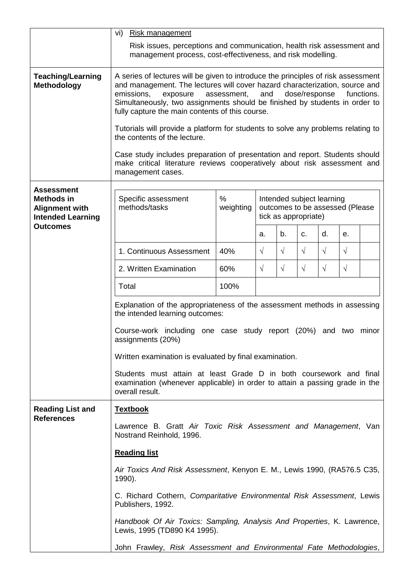|                                                   | vi)<br><b>Risk management</b>                                                                                                                                                                                                                                                                                                                                                                                                                                                                                                                                                                                                                                                        |           |                                                         |            |            |           |           |  |  |  |  |
|---------------------------------------------------|--------------------------------------------------------------------------------------------------------------------------------------------------------------------------------------------------------------------------------------------------------------------------------------------------------------------------------------------------------------------------------------------------------------------------------------------------------------------------------------------------------------------------------------------------------------------------------------------------------------------------------------------------------------------------------------|-----------|---------------------------------------------------------|------------|------------|-----------|-----------|--|--|--|--|
|                                                   | Risk issues, perceptions and communication, health risk assessment and<br>management process, cost-effectiveness, and risk modelling.                                                                                                                                                                                                                                                                                                                                                                                                                                                                                                                                                |           |                                                         |            |            |           |           |  |  |  |  |
| <b>Teaching/Learning</b><br>Methodology           | A series of lectures will be given to introduce the principles of risk assessment<br>and management. The lectures will cover hazard characterization, source and<br>emissions,<br>and<br>dose/response<br>exposure<br>assessment,<br>functions.<br>Simultaneously, two assignments should be finished by students in order to<br>fully capture the main contents of this course.<br>Tutorials will provide a platform for students to solve any problems relating to<br>the contents of the lecture.<br>Case study includes preparation of presentation and report. Students should<br>make critical literature reviews cooperatively about risk assessment and<br>management cases. |           |                                                         |            |            |           |           |  |  |  |  |
| <b>Assessment</b><br><b>Methods in</b>            | Specific assessment<br>methods/tasks                                                                                                                                                                                                                                                                                                                                                                                                                                                                                                                                                                                                                                                 | $\%$      | Intended subject learning                               |            |            |           |           |  |  |  |  |
| <b>Alignment with</b><br><b>Intended Learning</b> |                                                                                                                                                                                                                                                                                                                                                                                                                                                                                                                                                                                                                                                                                      | weighting | outcomes to be assessed (Please<br>tick as appropriate) |            |            |           |           |  |  |  |  |
| <b>Outcomes</b>                                   |                                                                                                                                                                                                                                                                                                                                                                                                                                                                                                                                                                                                                                                                                      |           | a.                                                      | b.         | C.         | d.        | е.        |  |  |  |  |
|                                                   | 1. Continuous Assessment                                                                                                                                                                                                                                                                                                                                                                                                                                                                                                                                                                                                                                                             | 40%       | $\sqrt{ }$                                              | $\sqrt{ }$ | $\sqrt{ }$ | $\sqrt{}$ | $\sqrt{}$ |  |  |  |  |
|                                                   | 2. Written Examination                                                                                                                                                                                                                                                                                                                                                                                                                                                                                                                                                                                                                                                               | 60%       | $\sqrt{ }$                                              | $\sqrt{}$  | $\sqrt{ }$ | $\sqrt{}$ | $\sqrt{}$ |  |  |  |  |
|                                                   | Total                                                                                                                                                                                                                                                                                                                                                                                                                                                                                                                                                                                                                                                                                | 100%      |                                                         |            |            |           |           |  |  |  |  |
|                                                   | Explanation of the appropriateness of the assessment methods in assessing<br>the intended learning outcomes:                                                                                                                                                                                                                                                                                                                                                                                                                                                                                                                                                                         |           |                                                         |            |            |           |           |  |  |  |  |
|                                                   | Course-work including one case study report (20%) and two<br>minor<br>assignments (20%)<br>Written examination is evaluated by final examination.<br>Students must attain at least Grade D in both coursework and final<br>examination (whenever applicable) in order to attain a passing grade in the<br>overall result.                                                                                                                                                                                                                                                                                                                                                            |           |                                                         |            |            |           |           |  |  |  |  |
|                                                   |                                                                                                                                                                                                                                                                                                                                                                                                                                                                                                                                                                                                                                                                                      |           |                                                         |            |            |           |           |  |  |  |  |
|                                                   |                                                                                                                                                                                                                                                                                                                                                                                                                                                                                                                                                                                                                                                                                      |           |                                                         |            |            |           |           |  |  |  |  |
| <b>Reading List and</b><br><b>References</b>      | <b>Textbook</b>                                                                                                                                                                                                                                                                                                                                                                                                                                                                                                                                                                                                                                                                      |           |                                                         |            |            |           |           |  |  |  |  |
|                                                   | Lawrence B. Gratt Air Toxic Risk Assessment and Management, Van<br>Nostrand Reinhold, 1996.                                                                                                                                                                                                                                                                                                                                                                                                                                                                                                                                                                                          |           |                                                         |            |            |           |           |  |  |  |  |
|                                                   | <b>Reading list</b>                                                                                                                                                                                                                                                                                                                                                                                                                                                                                                                                                                                                                                                                  |           |                                                         |            |            |           |           |  |  |  |  |
|                                                   | Air Toxics And Risk Assessment, Kenyon E. M., Lewis 1990, (RA576.5 C35,<br>1990).                                                                                                                                                                                                                                                                                                                                                                                                                                                                                                                                                                                                    |           |                                                         |            |            |           |           |  |  |  |  |
|                                                   | C. Richard Cothern, Comparitative Environmental Risk Assessment, Lewis<br>Publishers, 1992.                                                                                                                                                                                                                                                                                                                                                                                                                                                                                                                                                                                          |           |                                                         |            |            |           |           |  |  |  |  |
|                                                   | Handbook Of Air Toxics: Sampling, Analysis And Properties, K. Lawrence,<br>Lewis, 1995 (TD890 K4 1995).                                                                                                                                                                                                                                                                                                                                                                                                                                                                                                                                                                              |           |                                                         |            |            |           |           |  |  |  |  |
|                                                   | John Frawley, Risk Assessment and Environmental Fate Methodologies,                                                                                                                                                                                                                                                                                                                                                                                                                                                                                                                                                                                                                  |           |                                                         |            |            |           |           |  |  |  |  |